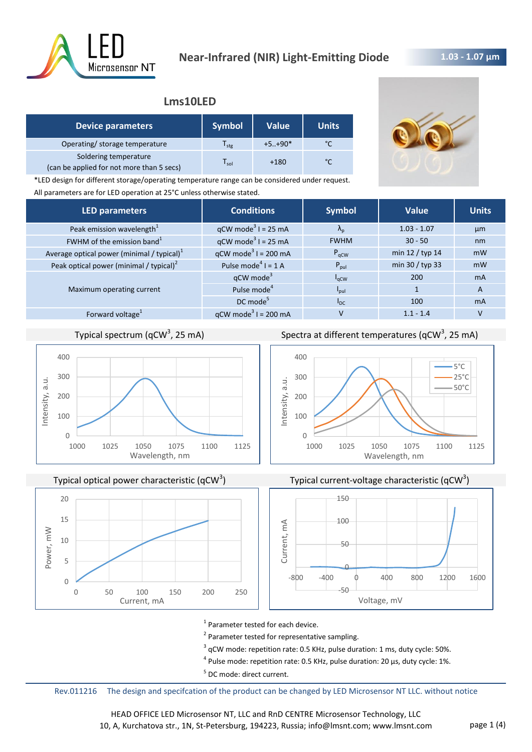

## **1.03 - 1.07 μm**

## **Lms10LED**

| <b>Device parameters</b>                                           | <b>Symbol</b>               | Value    | <b>Units</b>  |
|--------------------------------------------------------------------|-----------------------------|----------|---------------|
| Operating/ storage temperature                                     | l <sub>stg</sub>            | $+5+90*$ | $\sim$        |
| Soldering temperature<br>(can be applied for not more than 5 secs) | $\mathsf{I}_{\mathsf{sol}}$ | $+180$   | $\mathcal{C}$ |



\*LED design for different storage/operating temperature range can be considered under request. All parameters are for LED operation at 25°C unless otherwise stated.

| <b>LED parameters</b>                         | <b>Conditions</b>                 | <b>Symbol</b>     | Value           | <b>Units</b>   |
|-----------------------------------------------|-----------------------------------|-------------------|-----------------|----------------|
| Peak emission wavelength <sup>1</sup>         | $qCW \text{ mode}^3$ I = 25 mA    | $\Lambda_{\rm p}$ | $1.03 - 1.07$   | µm             |
| FWHM of the emission band <sup>1</sup>        | $qCW$ mode <sup>3</sup> I = 25 mA | <b>FWHM</b>       | $30 - 50$       | nm             |
| Average optical power (minimal / typical) $1$ | $qCW \text{ mode}^3$ I = 200 mA   | $P_{\text{aCW}}$  | min 12 / typ 14 | mW             |
| Peak optical power (minimal / typical) $2$    | Pulse mode <sup>4</sup> $I = 1$ A | $P_{\text{pul}}$  | min 30 / typ 33 | mW             |
|                                               | $qCW$ mode <sup>3</sup>           | $I_{\alpha CW}$   | 200             | <b>mA</b>      |
| Maximum operating current                     | Pulse mode <sup>4</sup>           | <b>I</b> pul      |                 | $\overline{A}$ |
|                                               | $DC$ mode <sup>5</sup>            | $I_{DC}$          | 100             | <b>mA</b>      |
| Forward voltage <sup>1</sup>                  | $qCW \text{ mode}^3$ I = 200 mA   | v                 | $1.1 - 1.4$     |                |

# Typical spectrum (qCW<sup>3</sup>, 25 mA)



Typical optical power characteristic (qCW<sup>3</sup>)



Spectra at different temperatures (qCW<sup>3</sup>, 25 mA)





<sup>1</sup> Parameter tested for each device.

- <sup>2</sup> Parameter tested for representative sampling.
- $3$  qCW mode: repetition rate: 0.5 KHz, pulse duration: 1 ms, duty cycle: 50%.
- $^4$  Pulse mode: repetition rate: 0.5 KHz, pulse duration: 20 µs, duty cycle: 1%.
- <sup>5</sup> DC mode: direct current.

Rev.011216 The design and specifcation of the product can be changed by LED Microsensor NT LLC. without notice

HEAD OFFICE LED Microsensor NT, LLC and RnD CENTRE Microsensor Technology, LLC 10, A, Kurchatova str., 1N, St-Petersburg, 194223, Russia; info@lmsnt.com; www.lmsnt.com page 1 (4)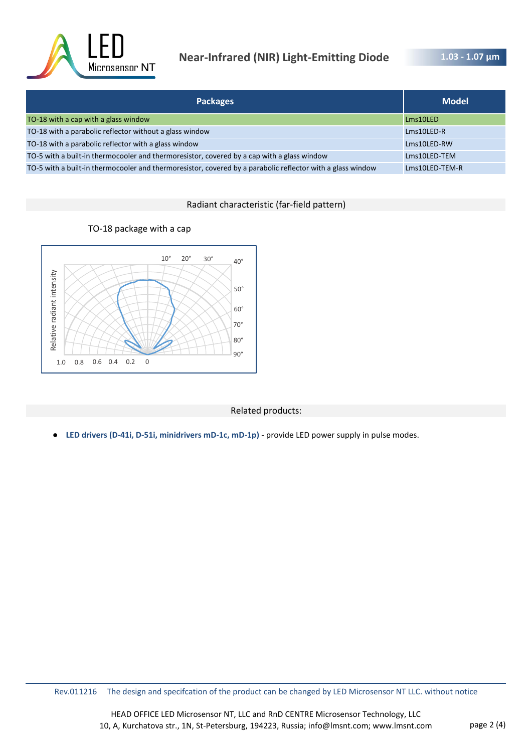

# **Near-Infrared (NIR) Light-Emitting Diode**

**1.03 - 1.07 μm** 

| <b>Packages</b>                                                                                            | <b>Model</b>   |
|------------------------------------------------------------------------------------------------------------|----------------|
| TO-18 with a cap with a glass window                                                                       | Lms10LED       |
| TO-18 with a parabolic reflector without a glass window                                                    | Lms10LED-R     |
| TO-18 with a parabolic reflector with a glass window                                                       | Lms10LED-RW    |
| TO-5 with a built-in thermocooler and thermoresistor, covered by a cap with a glass window                 | Lms10LED-TEM   |
| TO-5 with a built-in thermocooler and thermoresistor, covered by a parabolic reflector with a glass window | Lms10LED-TEM-R |

#### Radiant characteristic (far-field pattern)

TO-18 package with a cap



#### Related products:

● **LED drivers (D-41i, D-51i, minidrivers mD-1c, mD-1p)** - provide LED power supply in pulse modes.

Rev.011216 The design and specifcation of the product can be changed by LED Microsensor NT LLC. without notice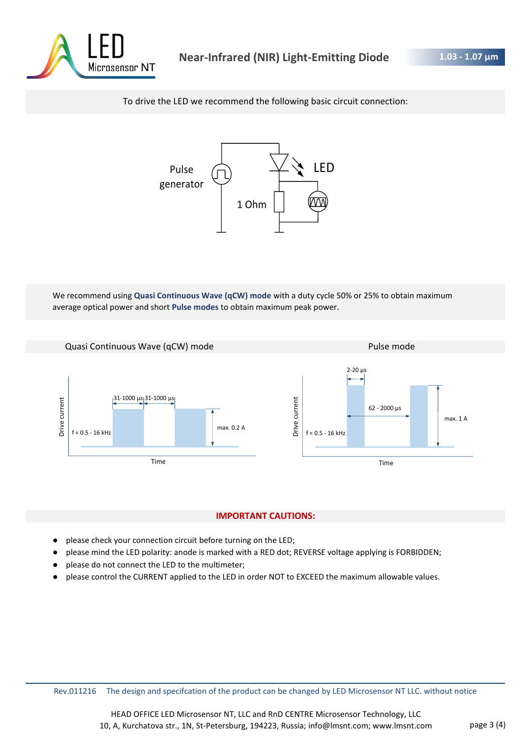

To drive the LED we recommend the following basic circuit connection:



We recommend using **Quasi Continuous Wave (qCW) mode** with a duty cycle 50% or 25% to obtain maximum average optical power and short **Pulse modes** to obtain maximum peak power.



#### **IMPORTANT CAUTIONS:**

- please check your connection circuit before turning on the LED;
- please mind the LED polarity: anode is marked with a RED dot; REVERSE voltage applying is FORBIDDEN;
- please do not connect the LED to the multimeter;
- please control the CURRENT applied to the LED in order NOT to EXCEED the maximum allowable values.